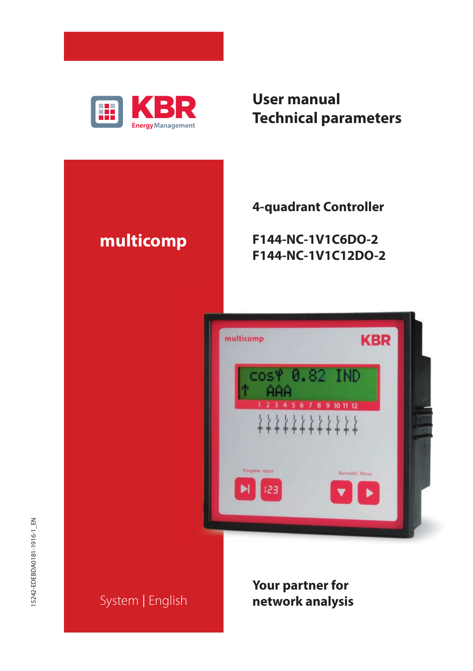

# **User manual Technical parameters**

# **multicomp**

**4-quadrant Controller**

**F144-NC-1V1C6DO-2 F144-NC-1V1C12DO-2**



# System | English

**Your partner for network analysis**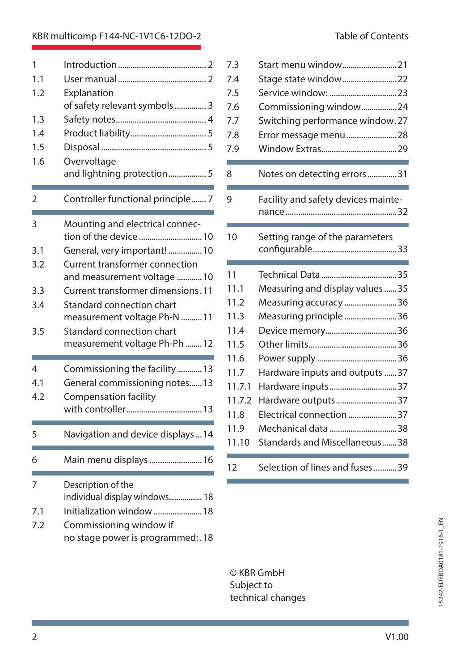## KBR multicomp F144-NC-1V1C6-12DO-2 Table of Contents

| 1                        |                                    |
|--------------------------|------------------------------------|
| 1.1                      |                                    |
| 1.2                      | Explanation                        |
|                          | of safety relevant symbols  3      |
| 1.3                      |                                    |
| 1.4                      |                                    |
| 1.5                      |                                    |
| 1.6                      | Overvoltage                        |
|                          | and lightning protection 5         |
| 2                        | Controller functional principle 7  |
| 3                        | Mounting and electrical connec-    |
|                          |                                    |
| 3.1                      | General, very important!  10       |
| 3.2                      | Current transformer connection     |
|                          | and measurement voltage  10        |
| 3.3                      | Current transformer dimensions.11  |
| 3.4                      | Standard connection chart          |
|                          | measurement voltage Ph-N  11       |
| 3.5                      | Standard connection chart          |
|                          | measurement voltage Ph-Ph12        |
| $\overline{\mathcal{A}}$ | Commissioning the facility13       |
| 4.1                      | General commissioning notes 13     |
| 4.2                      | Compensation facility              |
|                          |                                    |
| 5                        | Navigation and device displays  14 |
| 6                        | Main menu displays  16             |
| 7                        | Description of the                 |
|                          | individual display windows 18      |
| 7.1                      | Initialization window 18           |
| 7.2                      | Commissioning window if            |
|                          | no stage power is programmed: . 18 |

| 7.3    | Start menu window21                 |
|--------|-------------------------------------|
| 7.4    | Stage state window22                |
| 7.5    |                                     |
| 7.6    | Commissioning window24              |
| 7.7    | Switching performance window.27     |
| 7.8    | Error message menu28                |
| 7.9    |                                     |
| 8      | Notes on detecting errors31         |
| 9      | Facility and safety devices mainte- |
| 10     | Setting range of the parameters     |
| 11     |                                     |
| 11.1   | Measuring and display values35      |
| 11.2   | Measuring accuracy 36               |
| 11.3   | Measuring principle 36              |
| 11.4   | Device memory36                     |
| 11.5   |                                     |
| 11.6   |                                     |
| 11.7   | Hardware inputs and outputs 37      |
| 11.7.1 | Hardware inputs37                   |
| 11.7.2 | Hardware outputs37                  |
| 11.8   | Electrical connection 37            |
| 11.9   | Mechanical data 38                  |
| 11.10  | Standards and Miscellaneous38       |
| 12     | Selection of lines and fuses39      |

© KBR GmbH Subject to technical changes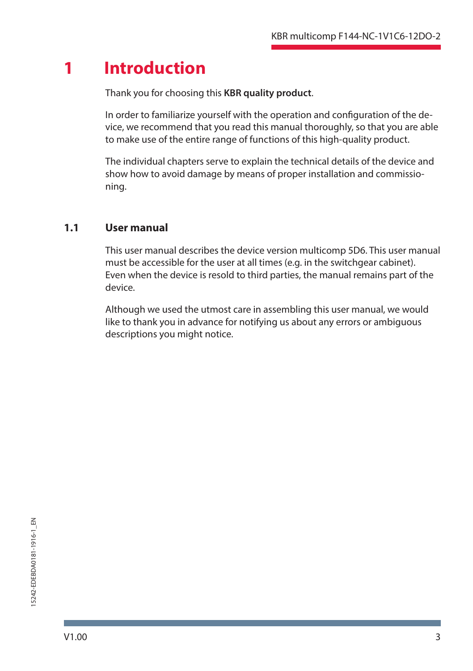# **1 Introduction**

Thank you for choosing this **KBR quality product**.

In order to familiarize yourself with the operation and configuration of the device, we recommend that you read this manual thoroughly, so that you are able to make use of the entire range of functions of this high-quality product.

The individual chapters serve to explain the technical details of the device and show how to avoid damage by means of proper installation and commissioning.

## **1.1 User manual**

This user manual describes the device version multicomp 5D6. This user manual must be accessible for the user at all times (e.g. in the switchgear cabinet). Even when the device is resold to third parties, the manual remains part of the device.

Although we used the utmost care in assembling this user manual, we would like to thank you in advance for notifying us about any errors or ambiguous descriptions you might notice.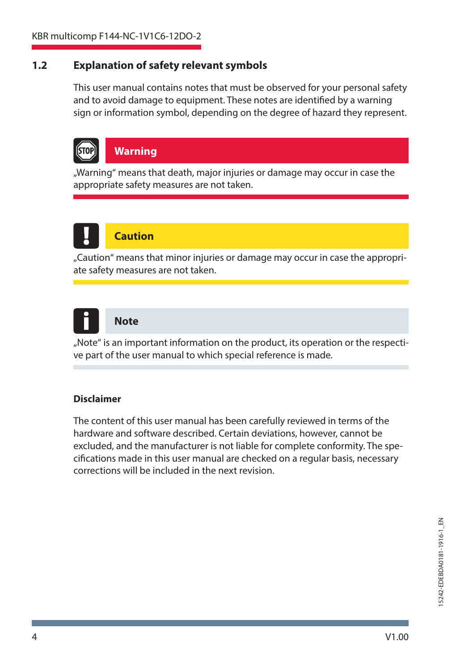#### **1.2 Explanation of safety relevant symbols**

This user manual contains notes that must be observed for your personal safety and to avoid damage to equipment. These notes are identified by a warning sign or information symbol, depending on the degree of hazard they represent.



### **Warning**

"Warning" means that death, major injuries or damage may occur in case the appropriate safety measures are not taken.



## **Caution**

"Caution" means that minor injuries or damage may occur in case the appropriate safety measures are not taken.



#### **Note**

"Note" is an important information on the product, its operation or the respective part of the user manual to which special reference is made.

#### **Disclaimer**

The content of this user manual has been carefully reviewed in terms of the hardware and software described. Certain deviations, however, cannot be excluded, and the manufacturer is not liable for complete conformity. The specifications made in this user manual are checked on a regular basis, necessary corrections will be included in the next revision.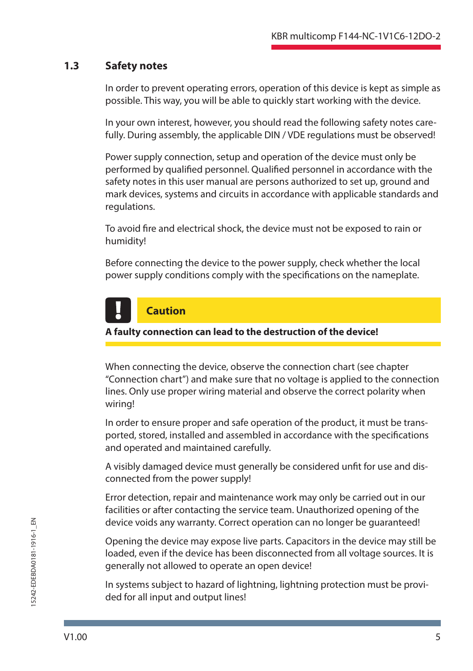### **1.3 Safety notes**

In order to prevent operating errors, operation of this device is kept as simple as possible. This way, you will be able to quickly start working with the device.

In your own interest, however, you should read the following safety notes carefully. During assembly, the applicable DIN / VDE regulations must be observed!

Power supply connection, setup and operation of the device must only be performed by qualified personnel. Qualified personnel in accordance with the safety notes in this user manual are persons authorized to set up, ground and mark devices, systems and circuits in accordance with applicable standards and regulations.

To avoid fire and electrical shock, the device must not be exposed to rain or humidity!

Before connecting the device to the power supply, check whether the local power supply conditions comply with the specifications on the nameplate.

# **Caution**

#### **A faulty connection can lead to the destruction of the device!**

When connecting the device, observe the connection chart (see chapter "Connection chart") and make sure that no voltage is applied to the connection lines. Only use proper wiring material and observe the correct polarity when wiring!

In order to ensure proper and safe operation of the product, it must be transported, stored, installed and assembled in accordance with the specifications and operated and maintained carefully.

A visibly damaged device must generally be considered unfit for use and disconnected from the power supply!

Error detection, repair and maintenance work may only be carried out in our facilities or after contacting the service team. Unauthorized opening of the device voids any warranty. Correct operation can no longer be guaranteed!

Opening the device may expose live parts. Capacitors in the device may still be loaded, even if the device has been disconnected from all voltage sources. It is generally not allowed to operate an open device!

In systems subject to hazard of lightning, lightning protection must be provided for all input and output lines!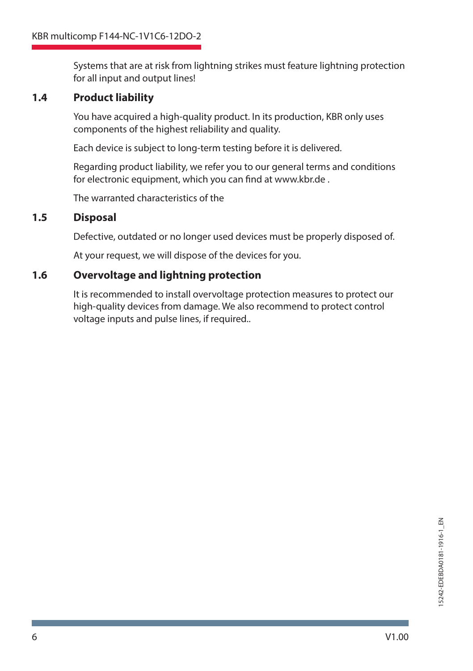Systems that are at risk from lightning strikes must feature lightning protection for all input and output lines!

### **1.4 Product liability**

You have acquired a high-quality product. In its production, KBR only uses components of the highest reliability and quality.

Each device is subject to long-term testing before it is delivered.

Regarding product liability, we refer you to our general terms and conditions for electronic equipment, which you can find at www.kbr.de.

The warranted characteristics of the

### **1.5 Disposal**

Defective, outdated or no longer used devices must be properly disposed of.

At your request, we will dispose of the devices for you.

## **1.6 Overvoltage and lightning protection**

It is recommended to install overvoltage protection measures to protect our high-quality devices from damage. We also recommend to protect control voltage inputs and pulse lines, if required..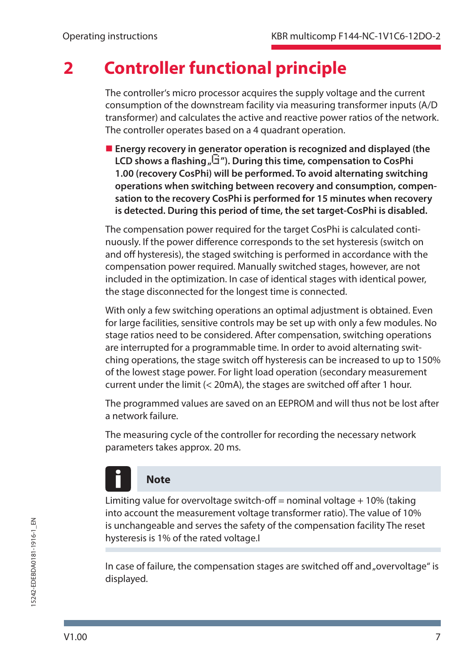# **2 Controller functional principle**

The controller's micro processor acquires the supply voltage and the current consumption of the downstream facility via measuring transformer inputs (A/D transformer) and calculates the active and reactive power ratios of the network. The controller operates based on a 4 quadrant operation.

 **Energy recovery in generator operation is recognized and displayed (the LCD shows a flashing**  $\sqrt{G}$ **"). During this time, compensation to CosPhi 1.00 (recovery CosPhi) will be performed. To avoid alternating switching operations when switching between recovery and consumption, compensation to the recovery CosPhi is performed for 15 minutes when recovery is detected. During this period of time, the set target-CosPhi is disabled.**

The compensation power required for the target CosPhi is calculated continuously. If the power difference corresponds to the set hysteresis (switch on and off hysteresis), the staged switching is performed in accordance with the compensation power required. Manually switched stages, however, are not included in the optimization. In case of identical stages with identical power, the stage disconnected for the longest time is connected.

With only a few switching operations an optimal adjustment is obtained. Even for large facilities, sensitive controls may be set up with only a few modules. No stage ratios need to be considered. After compensation, switching operations are interrupted for a programmable time. In order to avoid alternating switching operations, the stage switch off hysteresis can be increased to up to 150% of the lowest stage power. For light load operation (secondary measurement current under the limit  $(< 20$ mA), the stages are switched off after 1 hour.

The programmed values are saved on an EEPROM and will thus not be lost after a network failure.

The measuring cycle of the controller for recording the necessary network parameters takes approx. 20 ms.

# **Note**

Limiting value for overvoltage switch-off = nominal voltage  $+10%$  (taking into account the measurement voltage transformer ratio). The value of 10% is unchangeable and serves the safety of the compensation facility The reset hysteresis is 1% of the rated voltage.I

In case of failure, the compensation stages are switched off and "overvoltage" is displayed.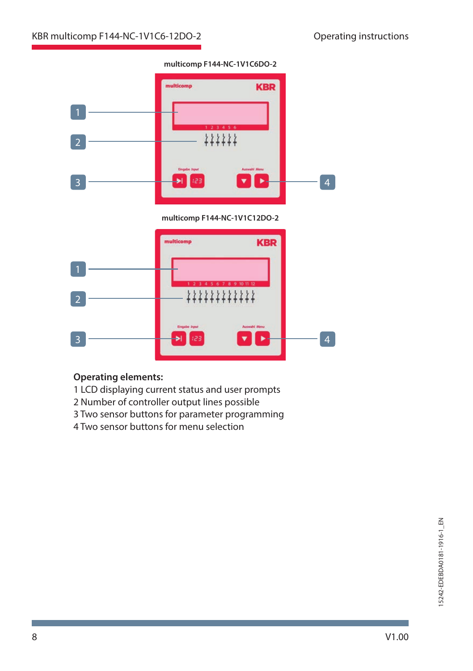

#### **multicomp F144-NC-1V1C6DO-2**

#### **Operating elements:**

- 1 LCD displaying current status and user prompts
- 2 Number of controller output lines possible
- 3 Two sensor buttons for parameter programming
- 4 Two sensor buttons for menu selection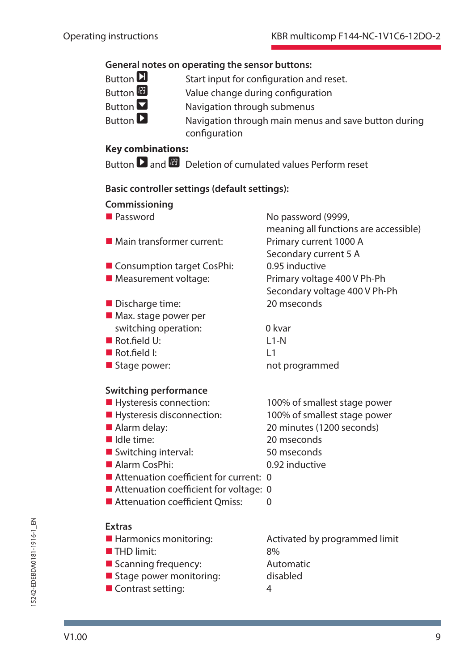# **General notes on operating the sensor buttons:**<br>Button **D** Start input for configuration are

- Button  $\Box$  Start input for configuration and reset.<br>Button  $\Box$  Value change during configuration
- Button  $\overline{w}$  Value change during configuration<br>Button  $\overline{v}$  Navigation through submenus
- Button  $\Sigma$  Navigation through submenus<br>Button  $\Sigma$  Navigation through main menu
	- Navigation through main menus and save button during configuration

### **Key combinations:**

Button  $\Box$  and  $\Box$  Deletion of cumulated values Perform reset

## **Basic controller settings (default settings):**

| Commissioning                            |                                       |
|------------------------------------------|---------------------------------------|
| <b>Password</b>                          | No password (9999,                    |
|                                          | meaning all functions are accessible) |
| Main transformer current:                | Primary current 1000 A                |
|                                          | Secondary current 5 A                 |
| ■ Consumption target CosPhi:             | 0.95 inductive                        |
| Measurement voltage:                     | Primary voltage 400 V Ph-Ph           |
|                                          | Secondary voltage 400 V Ph-Ph         |
| Discharge time:                          | 20 mseconds                           |
| $\blacksquare$ Max. stage power per      |                                       |
| switching operation:                     | 0 kvar                                |
| $\blacksquare$ Rot field U:              | $11-N$                                |
| $\blacksquare$ Rot.field I:              | L1                                    |
| Stage power:                             | not programmed                        |
| <b>Switching performance</b>             |                                       |
| Hysteresis connection:                   | 100% of smallest stage power          |
| Hysteresis disconnection:                | 100% of smallest stage power          |
| Alarm delay:                             | 20 minutes (1200 seconds)             |
| Idle time:                               | 20 mseconds                           |
| Switching interval:                      | 50 mseconds                           |
| $\blacksquare$ Alarm CosPhi:             | 0.92 inductive                        |
| Attenuation coefficient for current: 0   |                                       |
| ■ Attenuation coefficient for voltage: 0 |                                       |
| Attenuation coefficient Omiss:           | $\Omega$                              |
|                                          |                                       |
| <b>Extras</b>                            |                                       |
| Harmonics monitoring:                    | Activated by programmed limit         |
| THD limit:                               | 8%                                    |
| Scanning frequency:                      | Automatic                             |
| Stage power monitoring:                  | disabled                              |
| ■ Contrast setting:                      | 4                                     |
|                                          |                                       |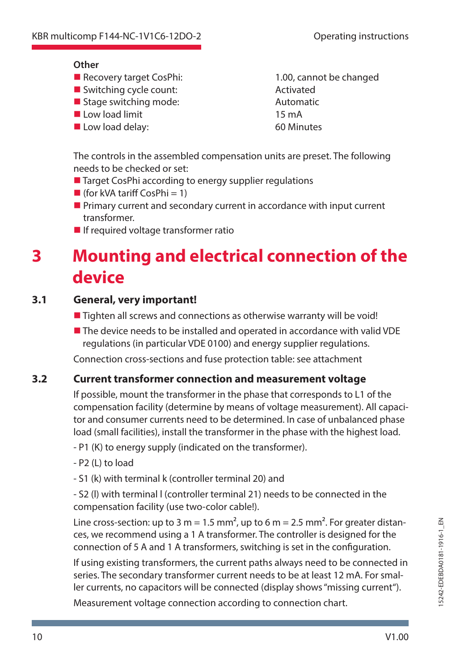#### **Other**

- Recovery target CosPhi: 1.00, cannot be changed
- Switching cycle count: Activated
- Stage switching mode: Automatic
- Low load limit 15 mA
- Low load delay: 60 Minutes

The controls in the assembled compensation units are preset. The following needs to be checked or set:

- Target CosPhi according to energy supplier regulations
- **(for kVA tariff CosPhi = 1)**
- **Primary current and secondary current in accordance with input current** transformer.
- $\blacksquare$  If required voltage transformer ratio

# **3 Mounting and electrical connection of the device**

## **3.1 General, very important!**

- $\blacksquare$  Tighten all screws and connections as otherwise warranty will be void!
- The device needs to be installed and operated in accordance with valid VDE regulations (in particular VDE 0100) and energy supplier regulations.

Connection cross-sections and fuse protection table: see attachment

### **3.2 Current transformer connection and measurement voltage**

If possible, mount the transformer in the phase that corresponds to L1 of the compensation facility (determine by means of voltage measurement). All capacitor and consumer currents need to be determined. In case of unbalanced phase load (small facilities), install the transformer in the phase with the highest load.

- P1 (K) to energy supply (indicated on the transformer).

- P2 (L) to load
- S1 (k) with terminal k (controller terminal 20) and

- S2 (l) with terminal l (controller terminal 21) needs to be connected in the compensation facility (use two-color cable!).

Line cross-section: up to 3 m = 1.5 mm<sup>2</sup>, up to 6 m = 2.5 mm<sup>2</sup>. For greater distances, we recommend using a 1 A transformer. The controller is designed for the connection of 5 A and 1 A transformers, switching is set in the configuration.

If using existing transformers, the current paths always need to be connected in series. The secondary transformer current needs to be at least 12 mA. For smaller currents, no capacitors will be connected (display shows "missing current").

Measurement voltage connection according to connection chart.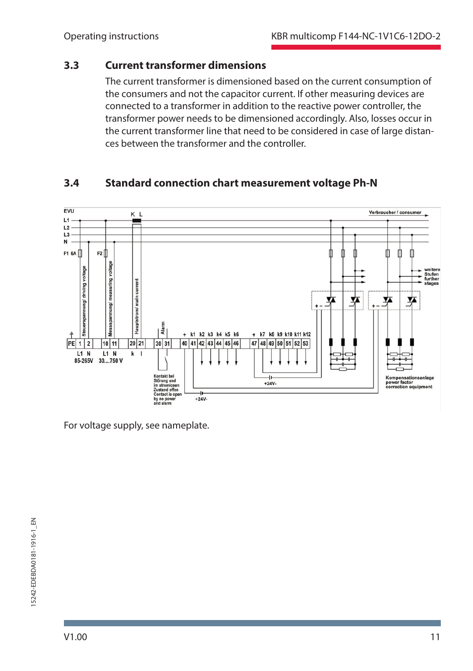#### **3.3 Current transformer dimensions**

The current transformer is dimensioned based on the current consumption of the consumers and not the capacitor current. If other measuring devices are connected to a transformer in addition to the reactive power controller, the transformer power needs to be dimensioned accordingly. Also, losses occur in the current transformer line that need to be considered in case of large distances between the transformer and the controller.

### **3.4 Standard connection chart measurement voltage Ph-N**



For voltage supply, see nameplate.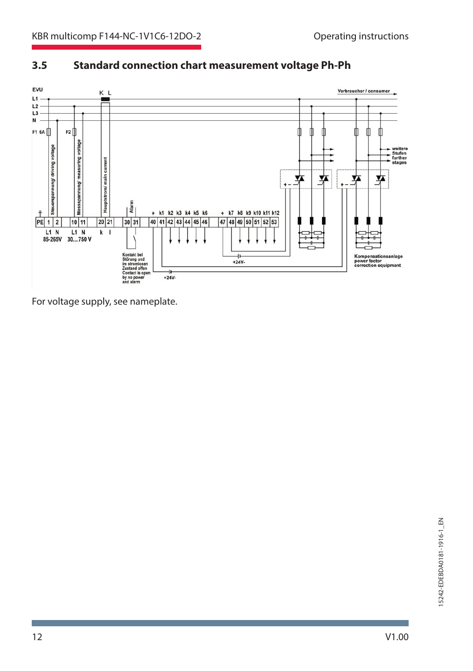

### **3.5 Standard connection chart measurement voltage Ph-Ph**

For voltage supply, see nameplate.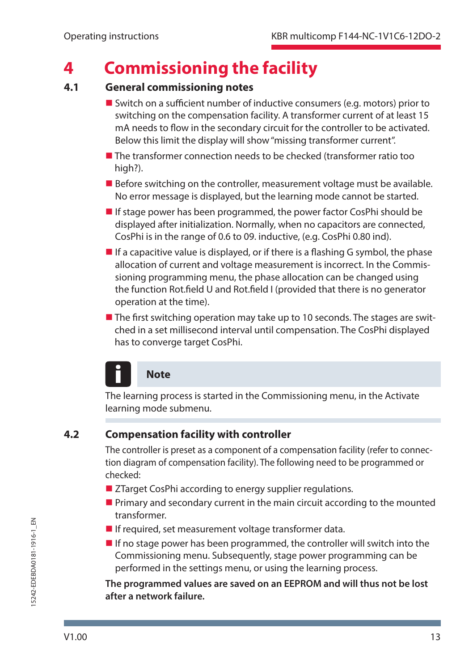# **4 Commissioning the facility**

### **4.1 General commissioning notes**

- $\blacksquare$  Switch on a sufficient number of inductive consumers (e.g. motors) prior to switching on the compensation facility. A transformer current of at least 15 mA needs to flow in the secondary circuit for the controller to be activated. Below this limit the display will show "missing transformer current".
- The transformer connection needs to be checked (transformer ratio too high?).
- $\blacksquare$  Before switching on the controller, measurement voltage must be available. No error message is displayed, but the learning mode cannot be started.
- If stage power has been programmed, the power factor CosPhi should be displayed after initialization. Normally, when no capacitors are connected, CosPhi is in the range of 0.6 to 09. inductive, (e.g. CosPhi 0.80 ind).
- If a capacitive value is displayed, or if there is a flashing G symbol, the phase allocation of current and voltage measurement is incorrect. In the Commissioning programming menu, the phase allocation can be changed using the function Rot.field U and Rot.field I (provided that there is no generator operation at the time).
- $\blacksquare$  The first switching operation may take up to 10 seconds. The stages are switched in a set millisecond interval until compensation. The CosPhi displayed has to converge target CosPhi.

# **Note**

The learning process is started in the Commissioning menu, in the Activate learning mode submenu.

#### **4.2 Compensation facility with controller**

The controller is preset as a component of a compensation facility (refer to connection diagram of compensation facility). The following need to be programmed or checked:

- ZTarget CosPhi according to energy supplier regulations.
- **Primary and secondary current in the main circuit according to the mounted** transformer.
- If required, set measurement voltage transformer data.
- $\blacksquare$  If no stage power has been programmed, the controller will switch into the Commissioning menu. Subsequently, stage power programming can be performed in the settings menu, or using the learning process.

**The programmed values are saved on an EEPROM and will thus not be lost after a network failure.**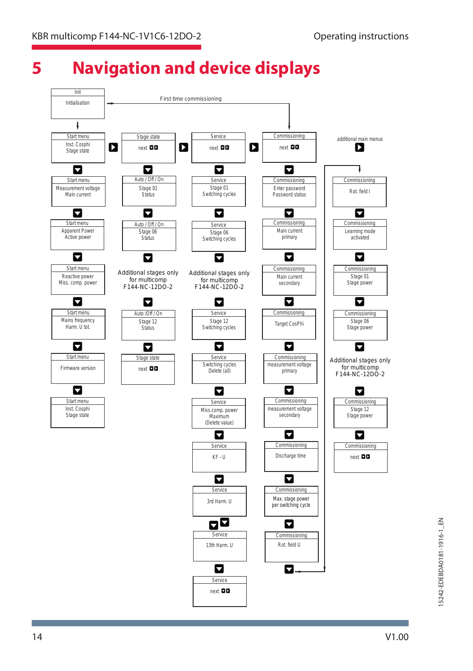# **5 Navigation and device displays**

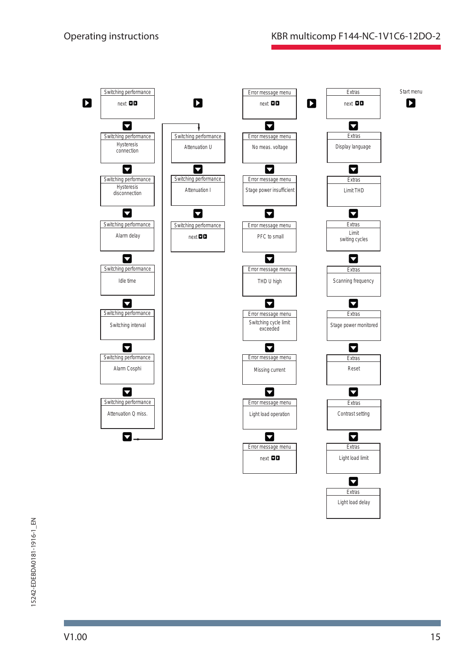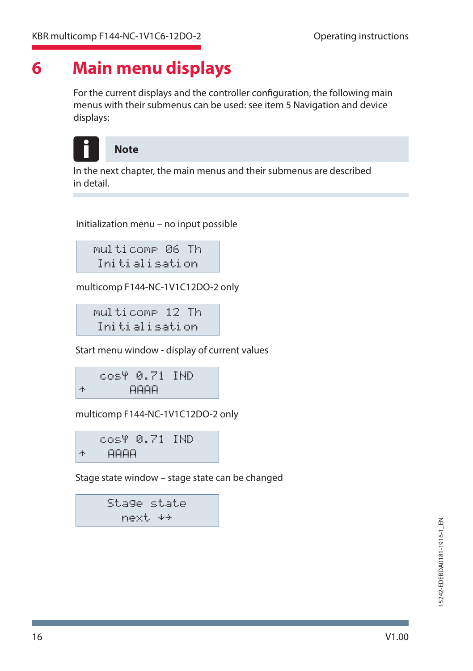# **6 Main menu displays**

For the current displays and the controller configuration, the following main menus with their submenus can be used: see item 5 Navigation and device displays:



### I **Note**

In the next chapter, the main menus and their submenus are described in detail.

Initialization menu – no input possible

```
multicomp 06 Th
Initialisation
```
multicomp F144-NC-1V1C12DO-2 only

multicomp 12 Th Initialisation

Start menu window - display of current values

 $\cos\theta$   $\theta$ ,  $\overline{Z}1$   $\overline{I}ND$  $\uparrow$  AAAA

multicomp F144-NC-1V1C12DO-2 only

cos<sup>4</sup> 0.71 IND  $\uparrow$  AAAA

Stage state window – stage state can be changed

Stage state next.  $+$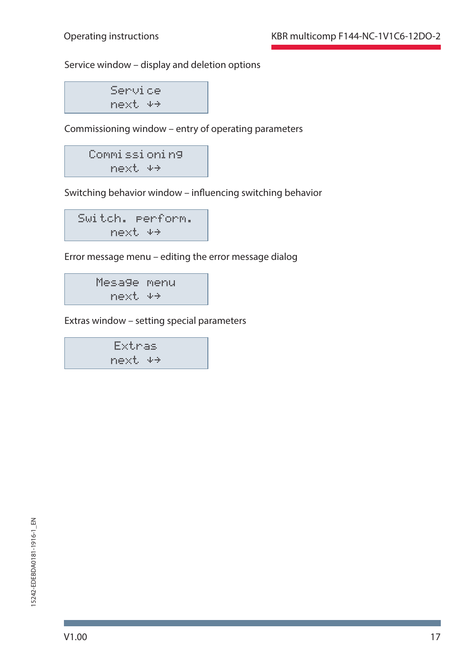Service window – display and deletion options

Service  $next$   $**$ 

Commissioning window – entry of operating parameters

Commissioning next îì

Switching behavior window - influencing switching behavior

Switch. perform. next  $**$ 

Error message menu – editing the error message dialog

Mesage menu  $next$   $*$ 

Extras window – setting special parameters

Extras next  $+$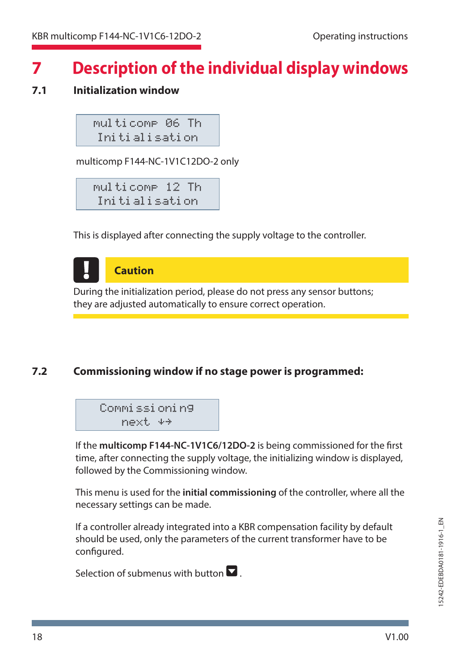# **7 Description of the individual display windows**

## **7.1 Initialization window**

multicomp 06 Th Initialisation

multicomp F144-NC-1V1C12DO-2 only

multicomp 12 Th Initialisation

This is displayed after connecting the supply voltage to the controller.

**Caution** During the initialization period, please do not press any sensor buttons; they are adjusted automatically to ensure correct operation.

### **7.2 Commissioning window if no stage power is programmed:**

```
Commissioning
  next îì
```
If the **multicomp F144-NC-1V1C6/12DO-2** is being commissioned for the first time, after connecting the supply voltage, the initializing window is displayed, followed by the Commissioning window.

This menu is used for the **initial commissioning** of the controller, where all the necessary settings can be made.

If a controller already integrated into a KBR compensation facility by default should be used, only the parameters of the current transformer have to be configured.

Selection of submenus with button  $\blacksquare$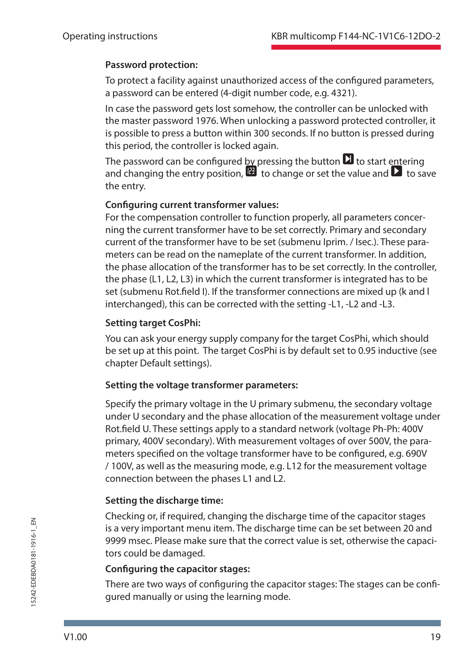#### **Password protection:**

To protect a facility against unauthorized access of the configured parameters, a password can be entered (4-digit number code, e.g. 4321).

In case the password gets lost somehow, the controller can be unlocked with the master password 1976. When unlocking a password protected controller, it is possible to press a button within 300 seconds. If no button is pressed during this period, the controller is locked again.

The password can be configured by pressing the button  $\Box$  to start entering and changing the entry position,  $\mathbf{u}$  to change or set the value and  $\mathbf{v}$  to save the entry.

### **Configuring current transformer values:**

For the compensation controller to function properly, all parameters concerning the current transformer have to be set correctly. Primary and secondary current of the transformer have to be set (submenu Iprim. / Isec.). These parameters can be read on the nameplate of the current transformer. In addition, the phase allocation of the transformer has to be set correctly. In the controller, the phase (L1, L2, L3) in which the current transformer is integrated has to be set (submenu Rot.field I). If the transformer connections are mixed up (k and I interchanged), this can be corrected with the setting -L1, -L2 and -L3.

### **Setting target CosPhi:**

You can ask your energy supply company for the target CosPhi, which should be set up at this point. The target CosPhi is by default set to 0.95 inductive (see chapter Default settings).

#### **Setting the voltage transformer parameters:**

Specify the primary voltage in the U primary submenu, the secondary voltage under U secondary and the phase allocation of the measurement voltage under Rot.field U. These settings apply to a standard network (voltage Ph-Ph: 400V primary, 400V secondary). With measurement voltages of over 500V, the parameters specified on the voltage transformer have to be configured, e.g. 690V / 100V, as well as the measuring mode, e.g. L12 for the measurement voltage connection between the phases L1 and L2.

### **Setting the discharge time:**

Checking or, if required, changing the discharge time of the capacitor stages is a very important menu item. The discharge time can be set between 20 and 9999 msec. Please make sure that the correct value is set, otherwise the capacitors could be damaged.

#### **Configuring the capacitor stages:**

There are two ways of configuring the capacitor stages: The stages can be configured manually or using the learning mode.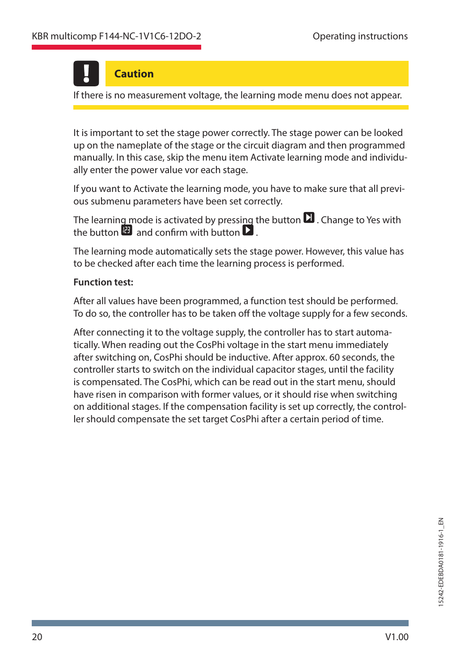# **Caution**

If there is no measurement voltage, the learning mode menu does not appear.

It is important to set the stage power correctly. The stage power can be looked up on the nameplate of the stage or the circuit diagram and then programmed manually. In this case, skip the menu item Activate learning mode and individually enter the power value vor each stage.

If you want to Activate the learning mode, you have to make sure that all previous submenu parameters have been set correctly.

The learning mode is activated by pressing the button  $\Box$  . Change to Yes with the button  $\mathbf F$  and confirm with button  $\mathbf F$ 

The learning mode automatically sets the stage power. However, this value has to be checked after each time the learning process is performed.

#### **Function test:**

After all values have been programmed, a function test should be performed. To do so, the controller has to be taken off the voltage supply for a few seconds.

After connecting it to the voltage supply, the controller has to start automatically. When reading out the CosPhi voltage in the start menu immediately after switching on, CosPhi should be inductive. After approx. 60 seconds, the controller starts to switch on the individual capacitor stages, until the facility is compensated. The CosPhi, which can be read out in the start menu, should have risen in comparison with former values, or it should rise when switching on additional stages. If the compensation facility is set up correctly, the controller should compensate the set target CosPhi after a certain period of time.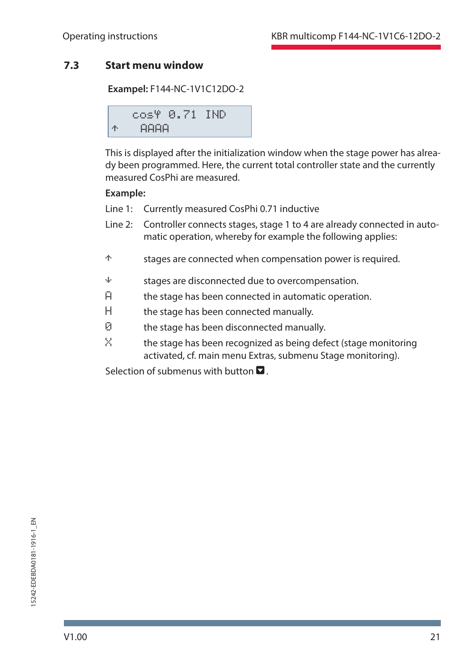### **7.3 Start menu window**

**Exampel:** F144-NC-1V1C12DO-2

$$
\begin{array}{cccc}\n\text{cos}\Psi & \text{0.71} & \text{IND} \\
\text{\#} & \text{A} & \text{A} & \text{AD} \\
\end{array}
$$

This is displayed after the initialization window when the stage power has already been programmed. Here, the current total controller state and the currently measured CosPhi are measured.

#### **Example:**

- Line 1: Currently measured CosPhi 0.71 inductive
- Line 2: Controller connects stages, stage 1 to 4 are already connected in automatic operation, whereby for example the following applies:
- <sup>†</sup> stages are connected when compensation power is required.
- $\dot{a}$  stages are disconnected due to overcompensation.
- $H$  the stage has been connected in automatic operation.
- H the stage has been connected manually.
- 0 the stage has been disconnected manually.
- $X$  the stage has been recognized as being defect (stage monitoring activated, cf. main menu Extras, submenu Stage monitoring).

Selection of submenus with button  $\blacksquare$ .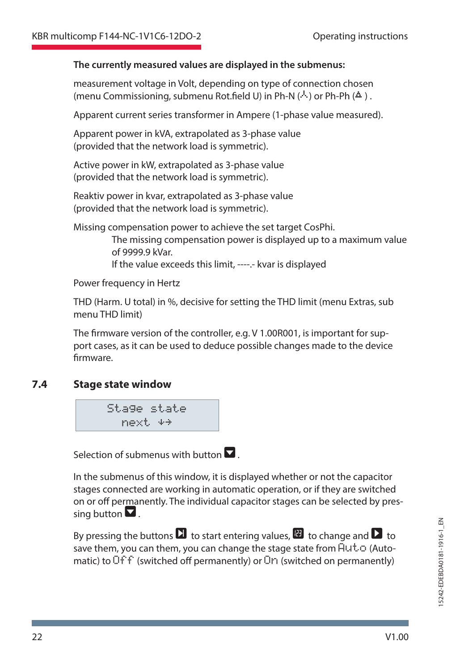#### **The currently measured values are displayed in the submenus:**

measurement voltage in Volt, depending on type of connection chosen (menu Commissioning, submenu Rot.field U) in Ph-N ( $\cdot$ ) or Ph-Ph ( $\triangle$ ).

Apparent current series transformer in Ampere (1-phase value measured).

Apparent power in kVA, extrapolated as 3-phase value (provided that the network load is symmetric).

Active power in kW, extrapolated as 3-phase value (provided that the network load is symmetric).

Reaktiv power in kvar, extrapolated as 3-phase value (provided that the network load is symmetric).

Missing compensation power to achieve the set target CosPhi.

 The missing compensation power is displayed up to a maximum value of 9999.9 kVar.

If the value exceeds this limit, ----.- kvar is displayed

Power frequency in Hertz

THD (Harm. U total) in %, decisive for setting the THD limit (menu Extras, sub menu THD limit)

The firmware version of the controller, e.g. V 1.00R001, is important for support cases, as it can be used to deduce possible changes made to the device firmware.

#### **7.4 Stage state window**



Selection of submenus with button  $\blacksquare$ .

In the submenus of this window, it is displayed whether or not the capacitor stages connected are working in automatic operation, or if they are switched on or off permanently. The individual capacitor stages can be selected by pressing button  $\nabla$ .

By pressing the buttons  $\blacksquare$  to start entering values,  $\blacksquare$  to change and  $\blacksquare$  to save them, you can them, you can change the stage state from  $Huto$  (Automatic) to  $\overline{O}f\overline{f}$  (switched off permanently) or  $\overline{O}f$  (switched on permanently)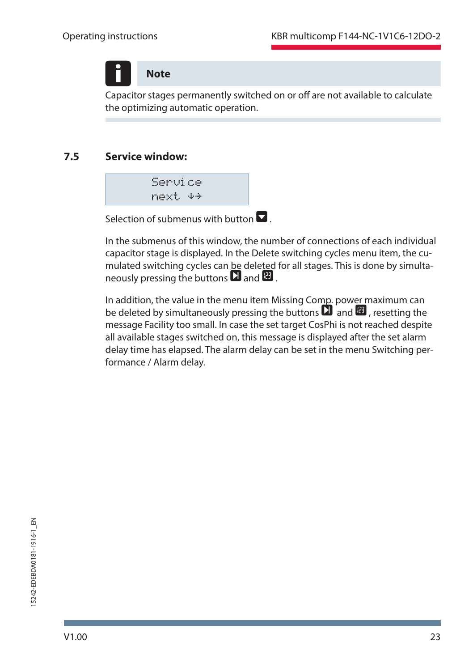**Note**

Capacitor stages permanently switched on or off are not available to calculate the optimizing automatic operation.

### **7.5 Service window:**



Selection of submenus with button  $\nabla$ 

In the submenus of this window, the number of connections of each individual capacitor stage is displayed. In the Delete switching cycles menu item, the cumulated switching cycles can be deleted for all stages. This is done by simultaneously pressing the buttons  $\Box$  and  $\Box$ .

In addition, the value in the menu item Missing Comp. power maximum can be deleted by simultaneously pressing the buttons  $\Box$  and  $\Box$ , resetting the message Facility too small. In case the set target CosPhi is not reached despite all available stages switched on, this message is displayed after the set alarm delay time has elapsed. The alarm delay can be set in the menu Switching performance / Alarm delay.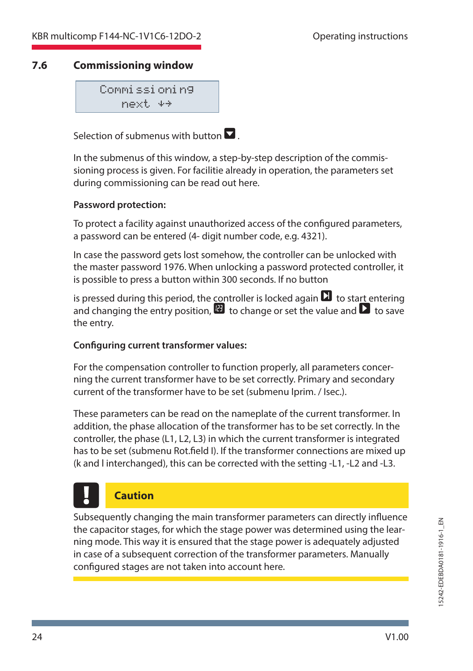### **7.6 Commissioning window**

Commissioning  $next$   $*$ 

Selection of submenus with button  $\blacksquare$ 

In the submenus of this window, a step-by-step description of the commissioning process is given. For facilitie already in operation, the parameters set during commissioning can be read out here.

#### **Password protection:**

To protect a facility against unauthorized access of the configured parameters, a password can be entered (4- digit number code, e.g. 4321).

In case the password gets lost somehow, the controller can be unlocked with the master password 1976. When unlocking a password protected controller, it is possible to press a button within 300 seconds. If no button

is pressed during this period, the controller is locked again  $\Box$  to start entering and changing the entry position,  $\blacksquare$  to change or set the value and  $\blacksquare$  to save the entry.

#### **Configuring current transformer values:**

For the compensation controller to function properly, all parameters concerning the current transformer have to be set correctly. Primary and secondary current of the transformer have to be set (submenu Iprim. / Isec.).

These parameters can be read on the nameplate of the current transformer. In addition, the phase allocation of the transformer has to be set correctly. In the controller, the phase (L1, L2, L3) in which the current transformer is integrated has to be set (submenu Rot.field I). If the transformer connections are mixed up (k and l interchanged), this can be corrected with the setting -L1, -L2 and -L3.

# **Caution**

Subsequently changing the main transformer parameters can directly influence the capacitor stages, for which the stage power was determined using the learning mode. This way it is ensured that the stage power is adequately adjusted in case of a subsequent correction of the transformer parameters. Manually configured stages are not taken into account here.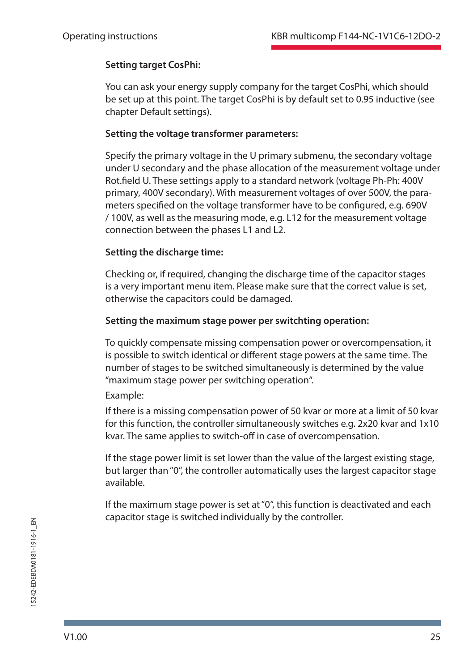#### **Setting target CosPhi:**

You can ask your energy supply company for the target CosPhi, which should be set up at this point. The target CosPhi is by default set to 0.95 inductive (see chapter Default settings).

#### **Setting the voltage transformer parameters:**

Specify the primary voltage in the U primary submenu, the secondary voltage under U secondary and the phase allocation of the measurement voltage under Rot.field U. These settings apply to a standard network (voltage Ph-Ph: 400V primary, 400V secondary). With measurement voltages of over 500V, the parameters specified on the voltage transformer have to be configured, e.g. 690V / 100V, as well as the measuring mode, e.g. L12 for the measurement voltage connection between the phases L1 and L2.

#### **Setting the discharge time:**

Checking or, if required, changing the discharge time of the capacitor stages is a very important menu item. Please make sure that the correct value is set, otherwise the capacitors could be damaged.

#### **Setting the maximum stage power per switchting operation:**

To quickly compensate missing compensation power or overcompensation, it is possible to switch identical or different stage powers at the same time. The number of stages to be switched simultaneously is determined by the value "maximum stage power per switching operation".

#### Example:

If there is a missing compensation power of 50 kvar or more at a limit of 50 kvar for this function, the controller simultaneously switches e.g. 2x20 kvar and 1x10 kvar. The same applies to switch-off in case of overcompensation.

If the stage power limit is set lower than the value of the largest existing stage, but larger than "0", the controller automatically uses the largest capacitor stage available.

If the maximum stage power is set at "0", this function is deactivated and each capacitor stage is switched individually by the controller.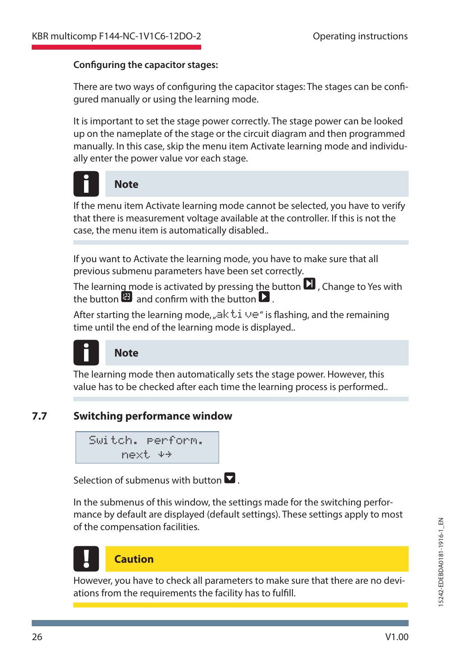#### **Configuring the capacitor stages:**

There are two ways of configuring the capacitor stages: The stages can be configured manually or using the learning mode.

It is important to set the stage power correctly. The stage power can be looked up on the nameplate of the stage or the circuit diagram and then programmed manually. In this case, skip the menu item Activate learning mode and individually enter the power value vor each stage.



#### **Note**

If the menu item Activate learning mode cannot be selected, you have to verify that there is measurement voltage available at the controller. If this is not the case, the menu item is automatically disabled..

If you want to Activate the learning mode, you have to make sure that all previous submenu parameters have been set correctly.

The learning mode is activated by pressing the button  $\Box$  Change to Yes with the button  $\mathbb{E}$  and confirm with the button  $\mathbb{E}$ .

After starting the learning mode,  $\#$  ak  $\cup \#$  is flashing, and the remaining time until the end of the learning mode is displayed..



### **Note**

The learning mode then automatically sets the stage power. However, this value has to be checked after each time the learning process is performed..

### **7.7 Switching performance window**

Switch. perform. next  $4+$ 

Selection of submenus with button  $\blacksquare$ 

In the submenus of this window, the settings made for the switching performance by default are displayed (default settings). These settings apply to most of the compensation facilities.



## **Caution**

However, you have to check all parameters to make sure that there are no deviations from the requirements the facility has to fulfill.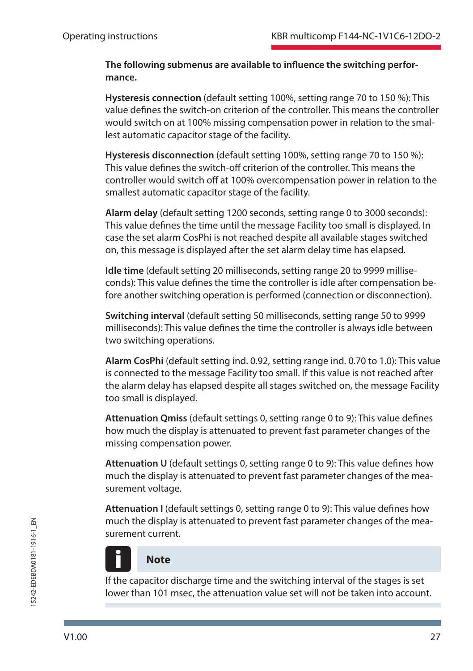The following submenus are available to influence the switching perfor**mance.**

**Hysteresis connection** (default setting 100%, setting range 70 to 150 %): This value denes the switch-on criterion of the controller. This means the controller would switch on at 100% missing compensation power in relation to the smallest automatic capacitor stage of the facility.

**Hysteresis disconnection** (default setting 100%, setting range 70 to 150 %): This value defines the switch-off criterion of the controller. This means the controller would switch off at 100% overcompensation power in relation to the smallest automatic capacitor stage of the facility.

**Alarm delay** (default setting 1200 seconds, setting range 0 to 3000 seconds): This value defines the time until the message Facility too small is displayed. In case the set alarm CosPhi is not reached despite all available stages switched on, this message is displayed after the set alarm delay time has elapsed.

**Idle time** (default setting 20 milliseconds, setting range 20 to 9999 milliseconds): This value defines the time the controller is idle after compensation before another switching operation is performed (connection or disconnection).

**Switching interval** (default setting 50 milliseconds, setting range 50 to 9999 milliseconds): This value defines the time the controller is always idle between two switching operations.

**Alarm CosPhi** (default setting ind. 0.92, setting range ind. 0.70 to 1.0): This value is connected to the message Facility too small. If this value is not reached after the alarm delay has elapsed despite all stages switched on, the message Facility too small is displayed.

Attenuation Qmiss (default settings 0, setting range 0 to 9): This value defines how much the display is attenuated to prevent fast parameter changes of the missing compensation power.

Attenuation U (default settings 0, setting range 0 to 9): This value defines how much the display is attenuated to prevent fast parameter changes of the measurement voltage.

Attenuation I (default settings 0, setting range 0 to 9): This value defines how much the display is attenuated to prevent fast parameter changes of the measurement current.

# **Note**

If the capacitor discharge time and the switching interval of the stages is set lower than 101 msec, the attenuation value set will not be taken into account.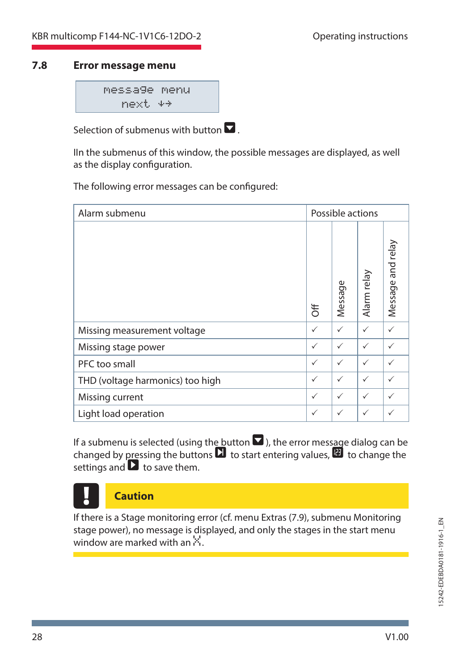#### **7.8 Error message menu**

message menu  $next$   $*$ 

Selection of submenus with button  $\nabla$ 

IIn the submenus of this window, the possible messages are displayed, as well as the display configuration.

The following error messages can be configured:

| Alarm submenu                    |   | Possible actions |              |                   |
|----------------------------------|---|------------------|--------------|-------------------|
|                                  | ₹ | Message          | Alarm relay  | Message and relay |
| Missing measurement voltage      | ✓ | $\checkmark$     | $\checkmark$ | ✓                 |
| Missing stage power              | ✓ | $\checkmark$     | $\checkmark$ | $\checkmark$      |
| PFC too small                    | ✓ | $\checkmark$     | $\checkmark$ | ✓                 |
| THD (voltage harmonics) too high | ✓ | $\checkmark$     | $\checkmark$ | $\checkmark$      |
| Missing current                  | ✓ | $\checkmark$     | ✓            | $\checkmark$      |
| Light load operation             | ✓ | $\checkmark$     | $\checkmark$ | ✓                 |

If a submenu is selected (using the button  $\blacksquare$ ), the error message dialog can be changed by pressing the buttons  $\Box$  to start entering values.  $\Box$  to change the settings and  $\Box$  to save them.



**Caution**

If there is a Stage monitoring error (cf. menu Extras (7.9), submenu Monitoring stage power), no message is displayed, and only the stages in the start menu window are marked with an  $\ddot{\sim}$ .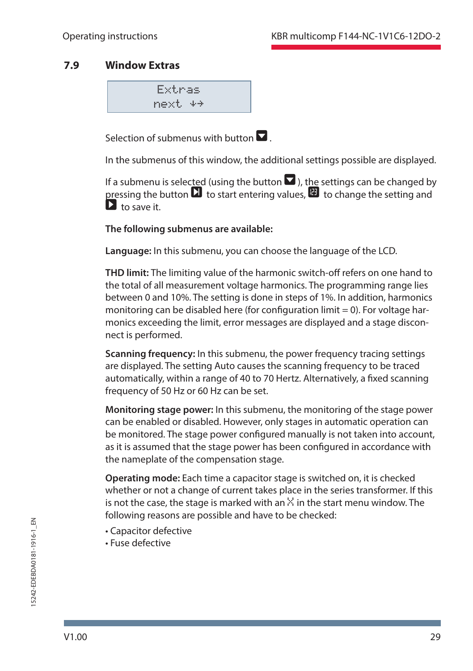### **7.9 Window Extras**

Extras  $next$   $*$ 

Selection of submenus with button  $\blacksquare$ 

In the submenus of this window, the additional settings possible are displayed.

If a submenu is selected (using the button  $\blacksquare$ ), the settings can be changed by pressing the button  $\Box$  to start entering values.  $\Box$  to change the setting and  $\mathbf{D}$  to save it.

#### **The following submenus are available:**

**Language:** In this submenu, you can choose the language of the LCD.

**THD limit:** The limiting value of the harmonic switch-off refers on one hand to the total of all measurement voltage harmonics. The programming range lies between 0 and 10%. The setting is done in steps of 1%. In addition, harmonics monitoring can be disabled here (for configuration limit  $= 0$ ). For voltage harmonics exceeding the limit, error messages are displayed and a stage disconnect is performed.

**Scanning frequency:** In this submenu, the power frequency tracing settings are displayed. The setting Auto causes the scanning frequency to be traced automatically, within a range of 40 to 70 Hertz. Alternatively, a fixed scanning frequency of 50 Hz or 60 Hz can be set.

**Monitoring stage power:** In this submenu, the monitoring of the stage power can be enabled or disabled. However, only stages in automatic operation can be monitored. The stage power configured manually is not taken into account, as it is assumed that the stage power has been configured in accordance with the nameplate of the compensation stage.

**Operating mode:** Each time a capacitor stage is switched on, it is checked whether or not a change of current takes place in the series transformer. If this is not the case, the stage is marked with an  $\ddot{\times}$  in the start menu window. The following reasons are possible and have to be checked:

- Capacitor defective
- Fuse defective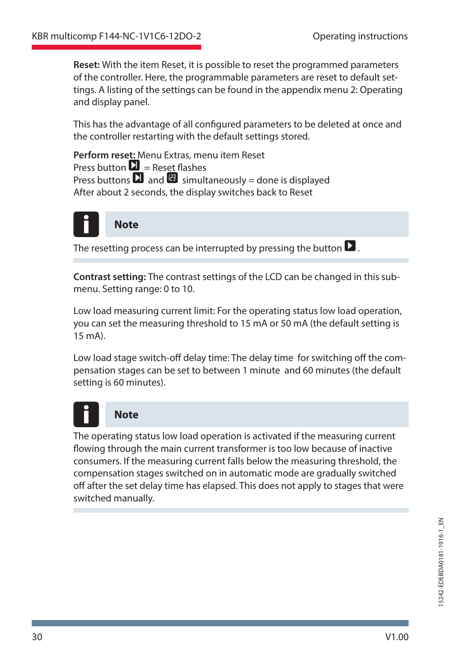**Reset:** With the item Reset, it is possible to reset the programmed parameters of the controller. Here, the programmable parameters are reset to default settings. A listing of the settings can be found in the appendix menu 2: Operating and display panel.

This has the advantage of all configured parameters to be deleted at once and the controller restarting with the default settings stored.

**Perform reset:** Menu Extras, menu item Reset Press button  $\mathbf{\Sigma}$  = Reset flashes Press buttons  $\Box$  and  $\Box$  simultaneously = done is displayed After about 2 seconds, the display switches back to Reset



The resetting process can be interrupted by pressing the button  $\blacksquare$ .

**Contrast setting:** The contrast settings of the LCD can be changed in this submenu. Setting range: 0 to 10.

Low load measuring current limit: For the operating status low load operation, you can set the measuring threshold to 15 mA or 50 mA (the default setting is  $15 \text{ mA}$ 

Low load stage switch-off delay time: The delay time for switching off the compensation stages can be set to between 1 minute and 60 minutes (the default setting is 60 minutes).



# **Note**

The operating status low load operation is activated if the measuring current flowing through the main current transformer is too low because of inactive consumers. If the measuring current falls below the measuring threshold, the compensation stages switched on in automatic mode are gradually switched off after the set delay time has elapsed. This does not apply to stages that were switched manually.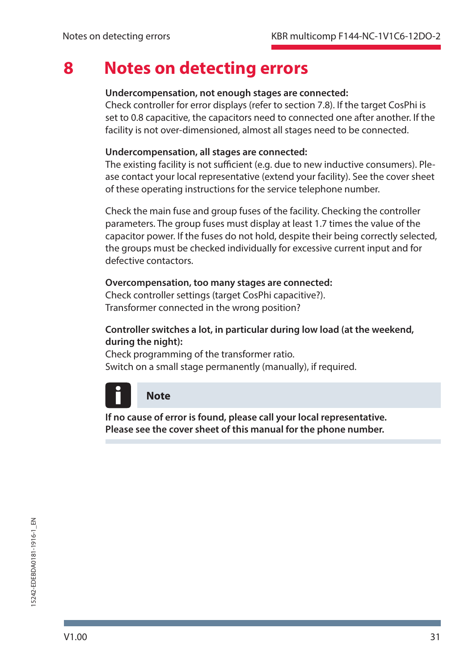# **8 Notes on detecting errors**

#### **Undercompensation, not enough stages are connected:**

Check controller for error displays (refer to section 7.8). If the target CosPhi is set to 0.8 capacitive, the capacitors need to connected one after another. If the facility is not over-dimensioned, almost all stages need to be connected.

#### **Undercompensation, all stages are connected:**

The existing facility is not sufficient (e.g. due to new inductive consumers). Please contact your local representative (extend your facility). See the cover sheet of these operating instructions for the service telephone number.

Check the main fuse and group fuses of the facility. Checking the controller parameters. The group fuses must display at least 1.7 times the value of the capacitor power. If the fuses do not hold, despite their being correctly selected, the groups must be checked individually for excessive current input and for defective contactors.

#### **Overcompensation, too many stages are connected:**

Check controller settings (target CosPhi capacitive?). Transformer connected in the wrong position?

#### **Controller switches a lot, in particular during low load (at the weekend, during the night):**

Check programming of the transformer ratio. Switch on a small stage permanently (manually), if required.



**If no cause of error is found, please call your local representative. Please see the cover sheet of this manual for the phone number.**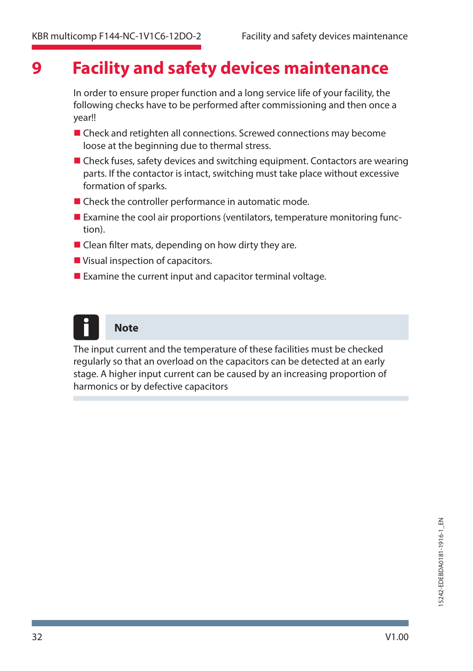# **9 Facility and safety devices maintenance**

In order to ensure proper function and a long service life of your facility, the following checks have to be performed after commissioning and then once a year!!

- Check and retighten all connections. Screwed connections may become loose at the beginning due to thermal stress.
- Check fuses, safety devices and switching equipment. Contactors are wearing parts. If the contactor is intact, switching must take place without excessive formation of sparks.
- Check the controller performance in automatic mode.
- $\blacksquare$  Examine the cool air proportions (ventilators, temperature monitoring function).
- $\blacksquare$  Clean filter mats, depending on how dirty they are.
- Visual inspection of capacitors.
- Examine the current input and capacitor terminal voltage.



The input current and the temperature of these facilities must be checked regularly so that an overload on the capacitors can be detected at an early stage. A higher input current can be caused by an increasing proportion of harmonics or by defective capacitors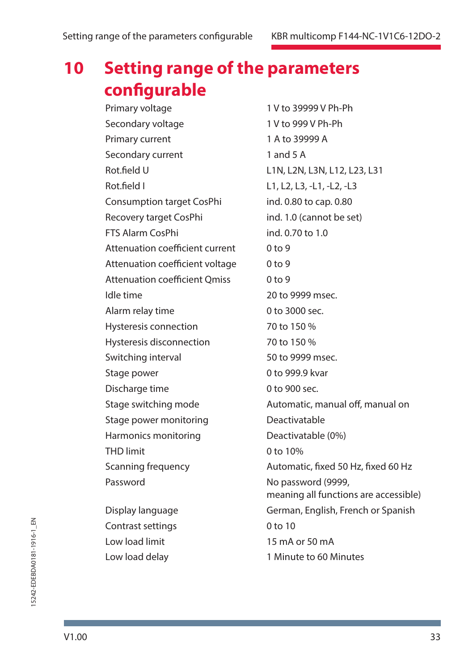# **10 Setting range of the parameters configurable**

Primary voltage 1 V to 39999 V Ph-Ph Secondary voltage 1 V to 999 V Ph-Ph Primary current 1 A to 39999 A Secondary current 1 and 5 A Rot.field U L1N, L2N, L3N, L12, L23, L31 Rot.field I L1, L2, L3, -L1, -L2, -L3 Consumption target CosPhi ind. 0.80 to cap. 0.80 Recovery target CosPhi ind. 1.0 (cannot be set) FTS Alarm CosPhi ind. 0.70 to 1.0 Attenuation coefficient current 0 to 9 Attenuation coefficient voltage 0 to 9 Attenuation coefficient Omiss 0 to 9 Idle time 20 to 9999 msec. Alarm relay time 0 to 3000 sec. Hysteresis connection 70 to 150 % Hysteresis disconnection 70 to 150 % Switching interval 50 to 9999 msec. Stage power 0 to 999.9 kvar Discharge time 0 to 900 sec. Stage power monitoring **Deactivatable** Harmonics monitoring Deactivatable (0%) THD limit 0 to 10% Password **No password** (9999, Contrast settings Contrast settings

Stage switching mode **Automatic, manual off**, manual on Scanning frequency **Automatic, fixed 50 Hz, fixed 60 Hz** meaning all functions are accessible) Display language German, English, French or Spanish Low load limit 15 mA or 50 mA Low load delay 1 Minute to 60 Minutes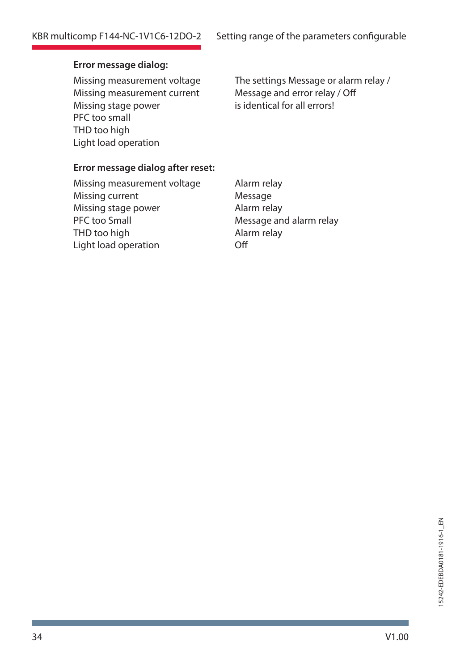### **Error message dialog:**

Missing measurement current Message and error relay / Off<br>Missing stage power is identical for all errors! Missing stage power PFC too small THD too high Light load operation

Missing measurement voltage The settings Message or alarm relay /

#### **Error message dialog after reset:**

Missing measurement voltage Alarm relay Missing current Message Missing stage power **Alarm relay** PFC too Small Message and alarm relay THD too high Alarm relay Light load operation **Off**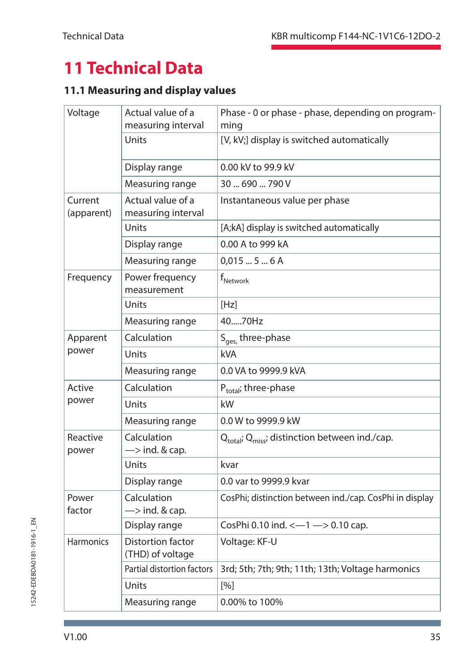# **11 Technical Data**

# **11.1 Measuring and display values**

| Voltage               | Actual value of a<br>measuring interval      | Phase - 0 or phase - phase, depending on program-<br>ming              |
|-----------------------|----------------------------------------------|------------------------------------------------------------------------|
|                       | Units                                        | [V, kV;] display is switched automatically                             |
|                       | Display range                                | 0.00 kV to 99.9 kV                                                     |
|                       | Measuring range                              | 30690790V                                                              |
| Current<br>(apparent) | Actual value of a<br>measuring interval      | Instantaneous value per phase                                          |
|                       | Units                                        | [A;kA] display is switched automatically                               |
|                       | Display range                                | 0.00 A to 999 kA                                                       |
|                       | Measuring range                              | 0,01556A                                                               |
| Frequency             | Power frequency<br>measurement               | f <sub>Network</sub>                                                   |
|                       | Units                                        | [Hz]                                                                   |
|                       | Measuring range                              | 4070Hz                                                                 |
| Apparent              | Calculation                                  | S <sub>ges,</sub> three-phase                                          |
| power                 | Units                                        | <b>kVA</b>                                                             |
|                       | Measuring range                              | 0.0 VA to 9999.9 kVA                                                   |
| Active                | Calculation                                  | $P_{total}$ ; three-phase                                              |
| power                 | Units                                        | kW                                                                     |
|                       | Measuring range                              | 0.0 W to 9999.9 kW                                                     |
| Reactive<br>power     | Calculation<br>$\Rightarrow$ ind. & cap.     | Q <sub>total</sub> ; Q <sub>miss</sub> ; distinction between ind./cap. |
|                       | Units                                        | kvar                                                                   |
|                       | Display range                                | 0.0 var to 9999.9 kvar                                                 |
| Power<br>factor       | Calculation<br>$\Rightarrow$ ind. & cap.     | CosPhi; distinction between ind./cap. CosPhi in display                |
|                       | Display range                                | CosPhi 0.10 ind. $\leftarrow$ 1 -> 0.10 cap.                           |
| <b>Harmonics</b>      | <b>Distortion factor</b><br>(THD) of voltage | Voltage: KF-U                                                          |
|                       | Partial distortion factors                   | 3rd; 5th; 7th; 9th; 11th; 13th; Voltage harmonics                      |
|                       | Units                                        | [%]                                                                    |
|                       | Measuring range                              | 0.00% to 100%                                                          |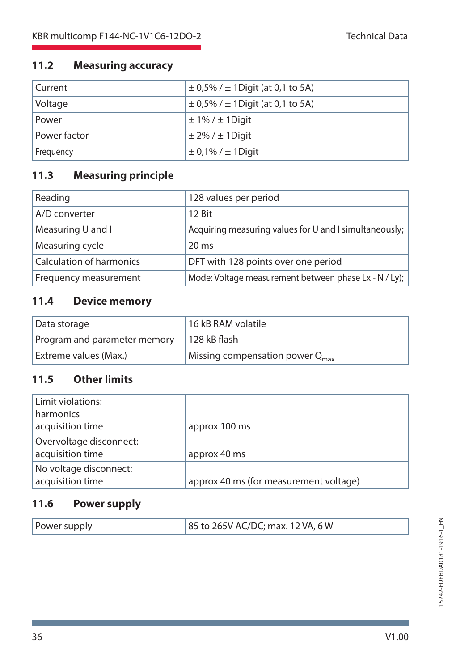## **11.2 Measuring accuracy**

| Current      | $\pm$ 0,5% / $\pm$ 1 Digit (at 0,1 to 5A) |
|--------------|-------------------------------------------|
| Voltage      | $\pm$ 0,5% / $\pm$ 1 Digit (at 0,1 to 5A) |
| Power        | $\pm$ 1% / $\pm$ 1 Digit                  |
| Power factor | $\pm$ 2% / $\pm$ 1 Digit                  |
| Frequency    | $\pm$ 0,1% / $\pm$ 1 Digit                |

# **11.3 Measuring principle**

| Reading                         | 128 values per period                                  |
|---------------------------------|--------------------------------------------------------|
| A/D converter                   | 12 Bit                                                 |
| Measuring U and I               | Acquiring measuring values for U and I simultaneously; |
| Measuring cycle                 | $20 \text{ ms}$                                        |
| <b>Calculation of harmonics</b> | DFT with 128 points over one period                    |
| Frequency measurement           | Mode: Voltage measurement between phase Lx - N / Ly);  |

## **11.4 Device memory**

| Data storage                 | 16 kB RAM volatile                          |
|------------------------------|---------------------------------------------|
| Program and parameter memory | 128 kB flash                                |
| Extreme values (Max.)        | Missing compensation power $Q_{\text{max}}$ |

# **11.5 Other limits**

| Limit violations:<br>harmonics              |                                        |
|---------------------------------------------|----------------------------------------|
| acquisition time                            | approx 100 ms                          |
| Overvoltage disconnect:<br>acquisition time | approx 40 ms                           |
| No voltage disconnect:<br>acquisition time  | approx 40 ms (for measurement voltage) |

# **11.6 Power supply**

| 85 to 265V AC/DC; max. 12 VA, 6 W<br>Power supply |  |
|---------------------------------------------------|--|
|---------------------------------------------------|--|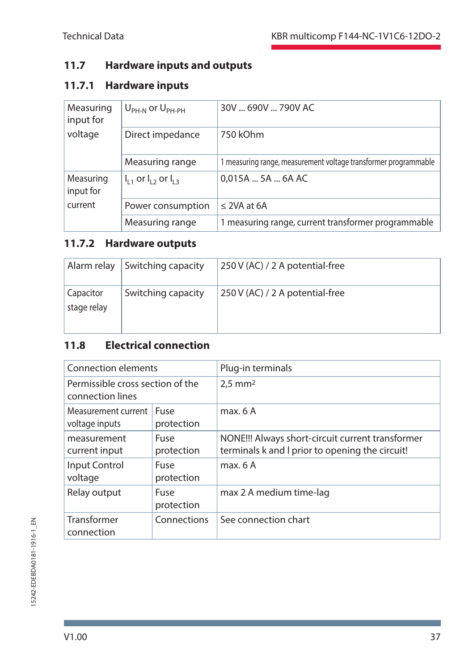# **11.7 Hardware inputs and outputs**

# **11.7.1 Hardware inputs**

| Measuring<br>input for | $U_{\rm PH-N}$ or $U_{\rm PH-PH}$ | 30V  690V  790V AC                                              |
|------------------------|-----------------------------------|-----------------------------------------------------------------|
| voltage                | Direct impedance                  | 750 kOhm                                                        |
|                        | Measuring range                   | 1 measuring range, measurement voltage transformer programmable |
| Measuring<br>input for | $I_{11}$ or $I_{12}$ or $I_{13}$  | 0,015A  5A  6A AC                                               |
| current                | Power consumption                 | $\leq$ 2VA at 6A                                                |
|                        | Measuring range                   | 1 measuring range, current transformer programmable             |

## **11.7.2 Hardware outputs**

| Alarm relay              | Switching capacity | 250 V (AC) / 2 A potential-free |
|--------------------------|--------------------|---------------------------------|
| Capacitor<br>stage relay | Switching capacity | 250 V (AC) / 2 A potential-free |

# **11.8 Electrical connection**

| Connection elements                                  |                    | Plug-in terminals                                                                                   |  |
|------------------------------------------------------|--------------------|-----------------------------------------------------------------------------------------------------|--|
| Permissible cross section of the<br>connection lines |                    | $2.5$ mm <sup>2</sup>                                                                               |  |
| Measurement current<br>voltage inputs                | Fuse<br>protection | max. 6A                                                                                             |  |
| measurement<br>current input                         | Fuse<br>protection | NONE!!! Always short-circuit current transformer<br>terminals k and I prior to opening the circuit! |  |
| Input Control<br>voltage                             | Fuse<br>protection | max. 6A                                                                                             |  |
| Relay output                                         | Fuse<br>protection | max 2 A medium time-lag                                                                             |  |
| Transformer<br>connection                            | Connections        | See connection chart                                                                                |  |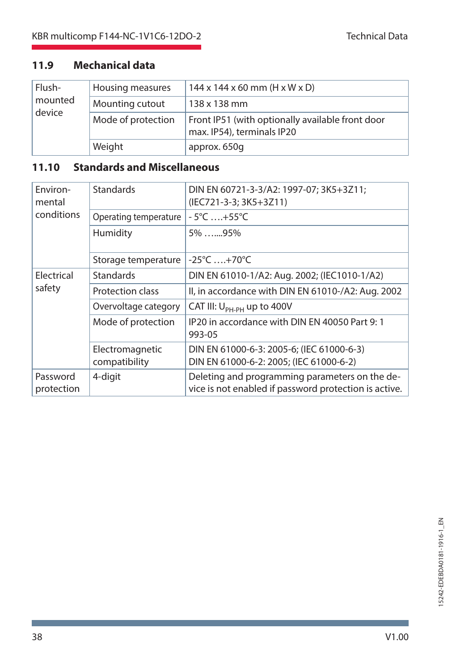# **11.9 Mechanical data**

| Flush-<br>mounted<br>device | Housing measures   | $144 \times 144 \times 60$ mm (H x W x D)                                      |
|-----------------------------|--------------------|--------------------------------------------------------------------------------|
|                             | Mounting cutout    | $138 \times 138$ mm                                                            |
|                             | Mode of protection | Front IP51 (with optionally available front door<br>max. IP54), terminals IP20 |
|                             | Weight             | approx. 650q                                                                   |

# **11.10 Standards and Miscellaneous**

| Environ-<br>mental     | <b>Standards</b>                 | DIN EN 60721-3-3/A2: 1997-07; 3K5+3Z11;<br>(IEC721-3-3; 3K5+3Z11)                                       |  |
|------------------------|----------------------------------|---------------------------------------------------------------------------------------------------------|--|
| conditions             | Operating temperature            | $-5^{\circ}$ C $+55^{\circ}$ C                                                                          |  |
|                        | Humidity                         | $5\%$ 95%                                                                                               |  |
|                        | Storage temperature              | $-25^{\circ}$ C  +70 $^{\circ}$ C                                                                       |  |
| Electrical<br>safety   | <b>Standards</b>                 | DIN EN 61010-1/A2: Aug. 2002; (IEC1010-1/A2)                                                            |  |
|                        | Protection class                 | II, in accordance with DIN EN 61010-/A2: Aug. 2002                                                      |  |
|                        | Overvoltage category             | CAT III: $U_{\text{PH-PH}}$ up to 400V                                                                  |  |
|                        | Mode of protection               | IP20 in accordance with DIN EN 40050 Part 9:1<br>993-05                                                 |  |
|                        | Electromagnetic<br>compatibility | DIN EN 61000-6-3: 2005-6; (IEC 61000-6-3)<br>DIN EN 61000-6-2: 2005; (IEC 61000-6-2)                    |  |
| Password<br>protection | 4-digit                          | Deleting and programming parameters on the de-<br>vice is not enabled if password protection is active. |  |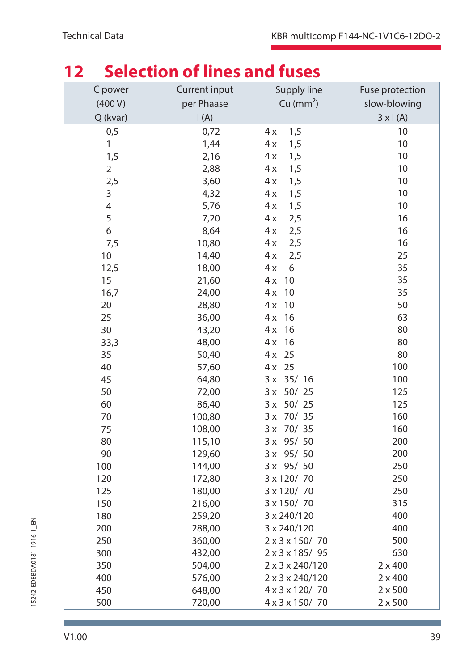| ╹┻<br><u>SEIECUVII VI IIIIES AIIU IUSES</u> |               |                       |                 |  |  |
|---------------------------------------------|---------------|-----------------------|-----------------|--|--|
| C power                                     | Current input | Supply line           | Fuse protection |  |  |
| (400 V)                                     | per Phaase    | Cu (mm <sup>2</sup> ) | slow-blowing    |  |  |
| Q (kvar)                                    | I(A)          |                       | $3 \times 1(A)$ |  |  |
| 0,5                                         | 0,72          | 4x<br>1,5             | 10              |  |  |
| 1                                           | 1,44          | 4x<br>1,5             | 10              |  |  |
| 1,5                                         | 2,16          | 1,5<br>4 x            | 10              |  |  |
| 2                                           | 2,88          | 4x<br>1,5             | 10              |  |  |
| 2,5                                         | 3,60          | 4x<br>1,5             | 10              |  |  |
| 3                                           | 4,32          | 1,5<br>4x             | 10              |  |  |
| 4                                           | 5,76          | 4x<br>1,5             | 10              |  |  |
| 5                                           | 7,20          | 4x<br>2,5             | 16              |  |  |
| 6                                           | 8,64          | 4x<br>2,5             | 16              |  |  |
| 7,5                                         | 10,80         | 2,5<br>4 x            | 16              |  |  |
| 10                                          | 14,40         | 4x<br>2,5             | 25              |  |  |
| 12,5                                        | 18,00         | 4x<br>6               | 35              |  |  |
| 15                                          | 21,60         | 4x<br>10              | 35              |  |  |
| 16,7                                        | 24,00         | 10<br>4x              | 35              |  |  |
| 20                                          | 28,80         | 4x<br>10              | 50              |  |  |
| 25                                          | 36,00         | 4x<br>16              | 63              |  |  |
| 30                                          | 43,20         | 16<br>4 x             | 80              |  |  |
| 33,3                                        | 48,00         | 16<br>4x              | 80              |  |  |
| 35                                          | 50,40         | 25<br>4x              | 80              |  |  |
| 40                                          | 57,60         | 25<br>4x              | 100             |  |  |
| 45                                          | 64,80         | 35/16<br>3 x          | 100             |  |  |
| 50                                          | 72,00         | 50/25<br>3x           | 125             |  |  |
| 60                                          | 86,40         | 50/25<br>3x           | 125             |  |  |
| 70                                          | 100,80        | 3x<br>70/35           | 160             |  |  |
| 75                                          | 108,00        | 70/ 35<br>3x          | 160             |  |  |
| 80                                          | 115,10        | 95/ 50<br>3x          | 200             |  |  |
| 90                                          | 129,60        | 95/ 50<br>3x          | 200             |  |  |
| 100                                         | 144,00        | 95/ 50<br>3x          | 250             |  |  |
| 120                                         | 172,80        | 3 x 120/70            | 250             |  |  |
| 125                                         | 180,00        | 3 x 120/70            | 250             |  |  |
| 150                                         | 216,00        | 3 x 150/70            | 315             |  |  |
| 180                                         | 259,20        | 3 x 240/120           | 400             |  |  |
| 200                                         | 288,00        | 3 x 240/120           | 400             |  |  |
| 250                                         | 360,00        | 2 x 3 x 150/70        | 500             |  |  |
| 300                                         | 432,00        | 2 x 3 x 185/95        | 630             |  |  |
| 350                                         | 504,00        | 2 x 3 x 240/120       | $2 \times 400$  |  |  |
| 400                                         | 576,00        | 2 x 3 x 240/120       | $2 \times 400$  |  |  |
| 450                                         | 648,00        | 4 x 3 x 120/ 70       | $2 \times 500$  |  |  |
| 500                                         | 720,00        | 4 x 3 x 150/70        | $2 \times 500$  |  |  |

# **12 Selection of lines and fuses**

п